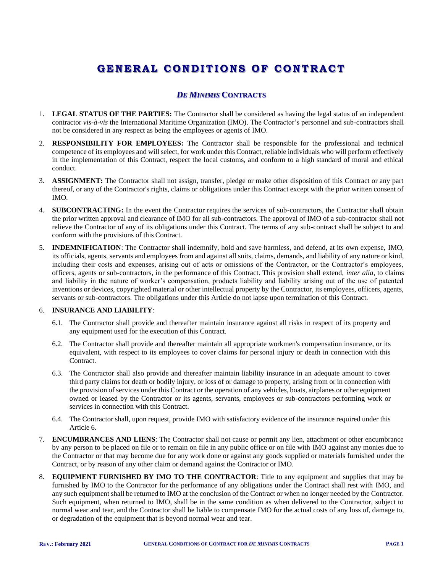# **GENERAL C ONDIT I O NS O F C O NTRACT**

## *DE MINIMIS* **CONTRACTS**

- 1. **LEGAL STATUS OF THE PARTIES:** The Contractor shall be considered as having the legal status of an independent contractor *vis-à-vis* the International Maritime Organization (IMO). The Contractor's personnel and sub-contractors shall not be considered in any respect as being the employees or agents of IMO.
- 2. **RESPONSIBILITY FOR EMPLOYEES:** The Contractor shall be responsible for the professional and technical competence of its employees and will select, for work under this Contract, reliable individuals who will perform effectively in the implementation of this Contract, respect the local customs, and conform to a high standard of moral and ethical conduct.
- 3. **ASSIGNMENT:** The Contractor shall not assign, transfer, pledge or make other disposition of this Contract or any part thereof, or any of the Contractor's rights, claims or obligations under this Contract except with the prior written consent of IMO.
- 4. **SUBCONTRACTING:** In the event the Contractor requires the services of sub-contractors, the Contractor shall obtain the prior written approval and clearance of IMO for all sub-contractors. The approval of IMO of a sub-contractor shall not relieve the Contractor of any of its obligations under this Contract. The terms of any sub-contract shall be subject to and conform with the provisions of this Contract.
- 5. **INDEMNIFICATION**: The Contractor shall indemnify, hold and save harmless, and defend, at its own expense, IMO, its officials, agents, servants and employees from and against all suits, claims, demands, and liability of any nature or kind, including their costs and expenses, arising out of acts or omissions of the Contractor, or the Contractor's employees, officers, agents or sub-contractors, in the performance of this Contract. This provision shall extend, *inter alia*, to claims and liability in the nature of worker's compensation, products liability and liability arising out of the use of patented inventions or devices, copyrighted material or other intellectual property by the Contractor, its employees, officers, agents, servants or sub-contractors. The obligations under this Article do not lapse upon termination of this Contract.

## 6. **INSURANCE AND LIABILITY**:

- 6.1. The Contractor shall provide and thereafter maintain insurance against all risks in respect of its property and any equipment used for the execution of this Contract.
- 6.2. The Contractor shall provide and thereafter maintain all appropriate workmen's compensation insurance, or its equivalent, with respect to its employees to cover claims for personal injury or death in connection with this Contract.
- 6.3. The Contractor shall also provide and thereafter maintain liability insurance in an adequate amount to cover third party claims for death or bodily injury, or loss of or damage to property, arising from or in connection with the provision of services under this Contract or the operation of any vehicles, boats, airplanes or other equipment owned or leased by the Contractor or its agents, servants, employees or sub-contractors performing work or services in connection with this Contract.
- 6.4. The Contractor shall, upon request, provide IMO with satisfactory evidence of the insurance required under this Article 6.
- 7. **ENCUMBRANCES AND LIENS**: The Contractor shall not cause or permit any lien, attachment or other encumbrance by any person to be placed on file or to remain on file in any public office or on file with IMO against any monies due to the Contractor or that may become due for any work done or against any goods supplied or materials furnished under the Contract, or by reason of any other claim or demand against the Contractor or IMO.
- 8. **EQUIPMENT FURNISHED BY IMO TO THE CONTRACTOR**: Title to any equipment and supplies that may be furnished by IMO to the Contractor for the performance of any obligations under the Contract shall rest with IMO, and any such equipment shall be returned to IMO at the conclusion of the Contract or when no longer needed by the Contractor. Such equipment, when returned to IMO, shall be in the same condition as when delivered to the Contractor, subject to normal wear and tear, and the Contractor shall be liable to compensate IMO for the actual costs of any loss of, damage to, or degradation of the equipment that is beyond normal wear and tear.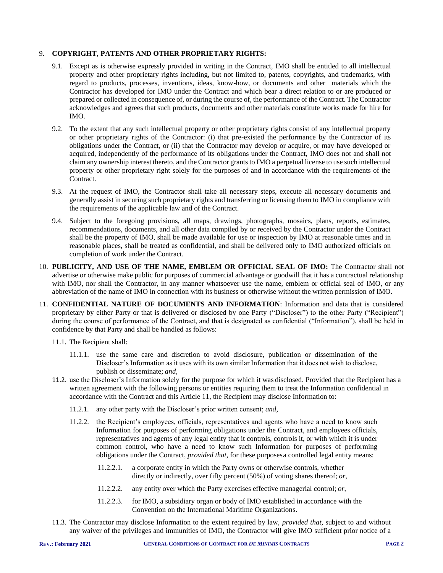### 9. **COPYRIGHT**, **PATENTS AND OTHER PROPRIETARY RIGHTS:**

- 9.1. Except as is otherwise expressly provided in writing in the Contract, IMO shall be entitled to all intellectual property and other proprietary rights including, but not limited to, patents, copyrights, and trademarks, with regard to products, processes, inventions, ideas, know-how, or documents and other materials which the Contractor has developed for IMO under the Contract and which bear a direct relation to or are produced or prepared or collected in consequence of, or during the course of, the performance of the Contract. The Contractor acknowledges and agrees that such products, documents and other materials constitute works made for hire for IMO.
- 9.2. To the extent that any such intellectual property or other proprietary rights consist of any intellectual property or other proprietary rights of the Contractor: (i) that pre-existed the performance by the Contractor of its obligations under the Contract, or (ii) that the Contractor may develop or acquire, or may have developed or acquired, independently of the performance of its obligations under the Contract, IMO does not and shall not claim any ownership interest thereto, and the Contractor grants to IMO a perpetual license to use such intellectual property or other proprietary right solely for the purposes of and in accordance with the requirements of the Contract.
- 9.3. At the request of IMO, the Contractor shall take all necessary steps, execute all necessary documents and generally assist in securing such proprietary rights and transferring or licensing them to IMO in compliance with the requirements of the applicable law and of the Contract.
- 9.4. Subject to the foregoing provisions, all maps, drawings, photographs, mosaics, plans, reports, estimates, recommendations, documents, and all other data compiled by or received by the Contractor under the Contract shall be the property of IMO, shall be made available for use or inspection by IMO at reasonable times and in reasonable places, shall be treated as confidential, and shall be delivered only to IMO authorized officials on completion of work under the Contract.
- 10. **PUBLICITY, AND USE OF THE NAME, EMBLEM OR OFFICIAL SEAL OF IMO:** The Contractor shall not advertise or otherwise make public for purposes of commercial advantage or goodwill that it has a contractual relationship with IMO, nor shall the Contractor, in any manner whatsoever use the name, emblem or official seal of IMO, or any abbreviation of the name of IMO in connection with its business or otherwise without the written permission of IMO.
- 11. **CONFIDENTIAL NATURE OF DOCUMENTS AND INFORMATION**: Information and data that is considered proprietary by either Party or that is delivered or disclosed by one Party ("Discloser") to the other Party ("Recipient") during the course of performance of the Contract, and that is designated as confidential ("Information"), shall be held in confidence by that Party and shall be handled as follows:
	- 11.1. The Recipient shall:
		- 11.1.1. use the same care and discretion to avoid disclosure, publication or dissemination of the Discloser's Information as it uses with its own similar Information that it does not wish to disclose, publish or disseminate; *and*,
	- 11.2. use the Discloser's Information solely for the purpose for which it was disclosed. Provided that the Recipient has a written agreement with the following persons or entities requiring them to treat the Information confidential in accordance with the Contract and this Article 11, the Recipient may disclose Information to:
		- 11.2.1. any other party with the Discloser's prior written consent; *and*,
		- 11.2.2. the Recipient's employees, officials, representatives and agents who have a need to know such Information for purposes of performing obligations under the Contract, and employees officials, representatives and agents of any legal entity that it controls, controls it, or with which it is under common control, who have a need to know such Information for purposes of performing obligations under the Contract, *provided that,* for these purposesa controlled legal entity means:
			- 11.2.2.1. a corporate entity in which the Party owns or otherwise controls, whether directly or indirectly, over fifty percent (50%) of voting shares thereof; *or*,
			- 11.2.2.2. any entity over which the Party exercises effective managerial control; *or*,
			- 11.2.2.3. for IMO, a subsidiary organ or body of IMO established in accordance with the Convention on the International Maritime Organizations.
	- 11.3. The Contractor may disclose Information to the extent required by law, *provided that*, subject to and without any waiver of the privileges and immunities of IMO, the Contractor will give IMO sufficient prior notice of a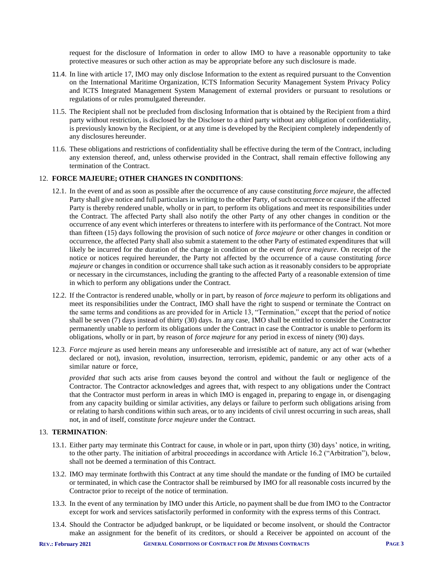request for the disclosure of Information in order to allow IMO to have a reasonable opportunity to take protective measures or such other action as may be appropriate before any such disclosure is made.

- 11.4. In line with article 17, IMO may only disclose Information to the extent as required pursuant to the Convention on the International Maritime Organization, ICTS Information Security Management System Privacy Policy and ICTS Integrated Management System Management of external providers or pursuant to resolutions or regulations of or rules promulgated thereunder.
- 11.5. The Recipient shall not be precluded from disclosing Information that is obtained by the Recipient from a third party without restriction, is disclosed by the Discloser to a third party without any obligation of confidentiality, is previously known by the Recipient, or at any time is developed by the Recipient completely independently of any disclosures hereunder.
- 11.6. These obligations and restrictions of confidentiality shall be effective during the term of the Contract, including any extension thereof, and, unless otherwise provided in the Contract, shall remain effective following any termination of the Contract.

### 12. **FORCE MAJEURE; OTHER CHANGES IN CONDITIONS**:

- 12.1. In the event of and as soon as possible after the occurrence of any cause constituting *force majeure*, the affected Party shall give notice and full particulars in writing to the other Party, of such occurrence or cause if the affected Party is thereby rendered unable, wholly or in part, to perform its obligations and meet its responsibilities under the Contract. The affected Party shall also notify the other Party of any other changes in condition or the occurrence of any event which interferes or threatens to interfere with its performance of the Contract. Not more than fifteen (15) days following the provision of such notice of *force majeure* or other changes in condition or occurrence, the affected Party shall also submit a statement to the other Party of estimated expenditures that will likely be incurred for the duration of the change in condition or the event of *force majeure*. On receipt of the notice or notices required hereunder, the Party not affected by the occurrence of a cause constituting *force majeure* or changes in condition or occurrence shall take such action as it reasonably considers to be appropriate or necessary in the circumstances, including the granting to the affected Party of a reasonable extension of time in which to perform any obligations under the Contract.
- 12.2. If the Contractor is rendered unable, wholly or in part, by reason of *force majeure* to perform its obligations and meet its responsibilities under the Contract, IMO shall have the right to suspend or terminate the Contract on the same terms and conditions as are provided for in Article 13, "Termination," except that the period of notice shall be seven (7) days instead of thirty (30) days. In any case, IMO shall be entitled to consider the Contractor permanently unable to perform its obligations under the Contract in case the Contractor is unable to perform its obligations, wholly or in part, by reason of *force majeure* for any period in excess of ninety (90) days.
- 12.3. *Force majeure* as used herein means any unforeseeable and irresistible act of nature, any act of war (whether declared or not), invasion, revolution, insurrection, terrorism, epidemic, pandemic or any other acts of a similar nature or force,

*provided that* such acts arise from causes beyond the control and without the fault or negligence of the Contractor. The Contractor acknowledges and agrees that, with respect to any obligations under the Contract that the Contractor must perform in areas in which IMO is engaged in, preparing to engage in, or disengaging from any capacity building or similar activities, any delays or failure to perform such obligations arising from or relating to harsh conditions within such areas, or to any incidents of civil unrest occurring in such areas, shall not, in and of itself, constitute *force majeure* under the Contract.

## 13. **TERMINATION**:

- 13.1. Either party may terminate this Contract for cause, in whole or in part, upon thirty (30) days' notice, in writing, to the other party. The initiation of arbitral proceedings in accordance with Article 16.2 ("Arbitration"), below, shall not be deemed a termination of this Contract.
- 13.2. IMO may terminate forthwith this Contract at any time should the mandate or the funding of IMO be curtailed or terminated, in which case the Contractor shall be reimbursed by IMO for all reasonable costs incurred by the Contractor prior to receipt of the notice of termination.
- 13.3. In the event of any termination by IMO under this Article, no payment shall be due from IMO to the Contractor except for work and services satisfactorily performed in conformity with the express terms of this Contract.
- 13.4. Should the Contractor be adjudged bankrupt, or be liquidated or become insolvent, or should the Contractor make an assignment for the benefit of its creditors, or should a Receiver be appointed on account of the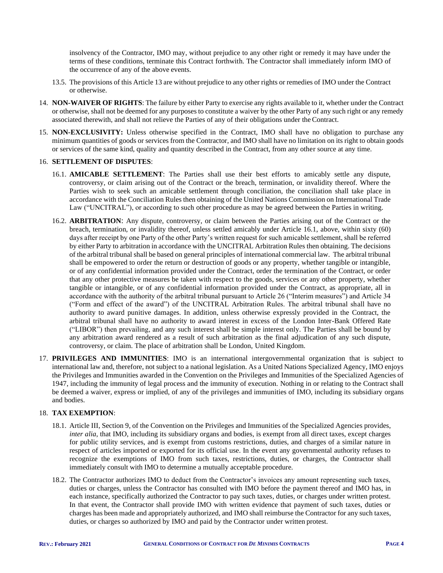insolvency of the Contractor, IMO may, without prejudice to any other right or remedy it may have under the terms of these conditions, terminate this Contract forthwith. The Contractor shall immediately inform IMO of the occurrence of any of the above events.

- 13.5. The provisions of this Article 13 are without prejudice to any other rights or remedies of IMO under the Contract or otherwise.
- 14. **NON-WAIVER OF RIGHTS**: The failure by either Party to exercise any rights available to it, whether under the Contract or otherwise, shall not be deemed for any purposes to constitute a waiver by the other Party of any such right or any remedy associated therewith, and shall not relieve the Parties of any of their obligations under the Contract.
- 15. **NON-EXCLUSIVITY:** Unless otherwise specified in the Contract, IMO shall have no obligation to purchase any minimum quantities of goods or services from the Contractor, and IMO shall have no limitation on its right to obtain goods or services of the same kind, quality and quantity described in the Contract, from any other source at any time.

### 16. **SETTLEMENT OF DISPUTES**:

- 16.1. **AMICABLE SETTLEMENT**: The Parties shall use their best efforts to amicably settle any dispute, controversy, or claim arising out of the Contract or the breach, termination, or invalidity thereof. Where the Parties wish to seek such an amicable settlement through conciliation, the conciliation shall take place in accordance with the Conciliation Rules then obtaining of the United Nations Commission on International Trade Law ("UNCITRAL"), or according to such other procedure as may be agreed between the Parties in writing.
- 16.2. **ARBITRATION**: Any dispute, controversy, or claim between the Parties arising out of the Contract or the breach, termination, or invalidity thereof, unless settled amicably under Article 16.1, above, within sixty (60) days after receipt by one Party of the other Party's written request for such amicable settlement, shall be referred by either Party to arbitration in accordance with the UNCITRAL Arbitration Rules then obtaining. The decisions of the arbitral tribunal shall be based on general principles of international commercial law. The arbitral tribunal shall be empowered to order the return or destruction of goods or any property, whether tangible or intangible, or of any confidential information provided under the Contract, order the termination of the Contract, or order that any other protective measures be taken with respect to the goods, services or any other property, whether tangible or intangible, or of any confidential information provided under the Contract, as appropriate, all in accordance with the authority of the arbitral tribunal pursuant to Article 26 ("Interim measures") and Article 34 ("Form and effect of the award") of the UNCITRAL Arbitration Rules. The arbitral tribunal shall have no authority to award punitive damages. In addition, unless otherwise expressly provided in the Contract, the arbitral tribunal shall have no authority to award interest in excess of the London Inter-Bank Offered Rate ("LIBOR") then prevailing, and any such interest shall be simple interest only. The Parties shall be bound by any arbitration award rendered as a result of such arbitration as the final adjudication of any such dispute, controversy, or claim. The place of arbitration shall be London, United Kingdom.
- 17. **PRIVILEGES AND IMMUNITIES**: IMO is an international intergovernmental organization that is subject to international law and, therefore, not subject to a national legislation. As a United Nations Specialized Agency, IMO enjoys the Privileges and Immunities awarded in the Convention on the Privileges and Immunities of the Specialized Agencies of 1947, including the immunity of legal process and the immunity of execution. Nothing in or relating to the Contract shall be deemed a waiver, express or implied, of any of the privileges and immunities of IMO, including its subsidiary organs and bodies.

#### 18. **TAX EXEMPTION**:

- 18.1. Article III, Section 9, of the Convention on the Privileges and Immunities of the Specialized Agencies provides, *inter alia*, that IMO, including its subsidiary organs and bodies, is exempt from all direct taxes, except charges for public utility services, and is exempt from customs restrictions, duties, and charges of a similar nature in respect of articles imported or exported for its official use. In the event any governmental authority refuses to recognize the exemptions of IMO from such taxes, restrictions, duties, or charges, the Contractor shall immediately consult with IMO to determine a mutually acceptable procedure.
- 18.2. The Contractor authorizes IMO to deduct from the Contractor's invoices any amount representing such taxes, duties or charges, unless the Contractor has consulted with IMO before the payment thereof and IMO has, in each instance, specifically authorized the Contractor to pay such taxes, duties, or charges under written protest. In that event, the Contractor shall provide IMO with written evidence that payment of such taxes, duties or charges has been made and appropriately authorized, and IMO shall reimburse the Contractor for any such taxes, duties, or charges so authorized by IMO and paid by the Contractor under written protest.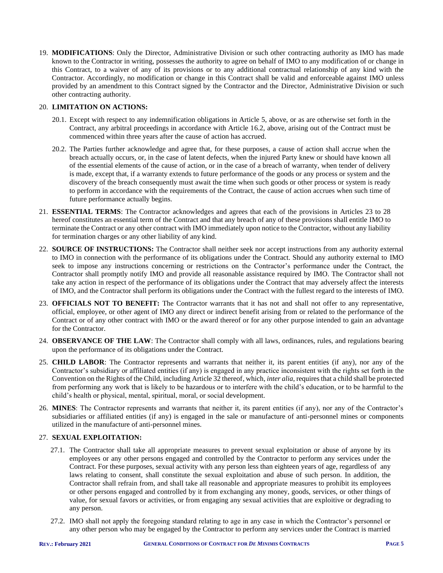19. **MODIFICATIONS**: Only the Director, Administrative Division or such other contracting authority as IMO has made known to the Contractor in writing, possesses the authority to agree on behalf of IMO to any modification of or change in this Contract, to a waiver of any of its provisions or to any additional contractual relationship of any kind with the Contractor. Accordingly, no modification or change in this Contract shall be valid and enforceable against IMO unless provided by an amendment to this Contract signed by the Contractor and the Director, Administrative Division or such other contracting authority.

## 20. **LIMITATION ON ACTIONS:**

- 20.1. Except with respect to any indemnification obligations in Article 5, above, or as are otherwise set forth in the Contract, any arbitral proceedings in accordance with Article 16.2, above, arising out of the Contract must be commenced within three years after the cause of action has accrued.
- 20.2. The Parties further acknowledge and agree that, for these purposes, a cause of action shall accrue when the breach actually occurs, or, in the case of latent defects, when the injured Party knew or should have known all of the essential elements of the cause of action, or in the case of a breach of warranty, when tender of delivery is made, except that, if a warranty extends to future performance of the goods or any process or system and the discovery of the breach consequently must await the time when such goods or other process or system is ready to perform in accordance with the requirements of the Contract, the cause of action accrues when such time of future performance actually begins.
- 21. **ESSENTIAL TERMS**: The Contractor acknowledges and agrees that each of the provisions in Articles 23 to 28 hereof constitutes an essential term of the Contract and that any breach of any of these provisions shall entitle IMO to terminate the Contract or any other contract with IMO immediately upon notice to the Contractor, without any liability for termination charges or any other liability of any kind.
- 22. **SOURCE OF INSTRUCTIONS:** The Contractor shall neither seek nor accept instructions from any authority external to IMO in connection with the performance of its obligations under the Contract. Should any authority external to IMO seek to impose any instructions concerning or restrictions on the Contractor's performance under the Contract, the Contractor shall promptly notify IMO and provide all reasonable assistance required by IMO. The Contractor shall not take any action in respect of the performance of its obligations under the Contract that may adversely affect the interests of IMO, and the Contractor shall perform its obligations under the Contract with the fullest regard to the interests of IMO.
- 23. **OFFICIALS NOT TO BENEFIT:** The Contractor warrants that it has not and shall not offer to any representative, official, employee, or other agent of IMO any direct or indirect benefit arising from or related to the performance of the Contract or of any other contract with IMO or the award thereof or for any other purpose intended to gain an advantage for the Contractor.
- 24. **OBSERVANCE OF THE LAW**: The Contractor shall comply with all laws, ordinances, rules, and regulations bearing upon the performance of its obligations under the Contract.
- 25. **CHILD LABOR**: The Contractor represents and warrants that neither it, its parent entities (if any), nor any of the Contractor's subsidiary or affiliated entities (if any) is engaged in any practice inconsistent with the rights set forth in the Convention on the Rights of the Child, including Article 32 thereof, which, *inter alia*, requires that a child shall be protected from performing any work that is likely to be hazardous or to interfere with the child's education, or to be harmful to the child's health or physical, mental, spiritual, moral, or social development.
- 26. **MINES**: The Contractor represents and warrants that neither it, its parent entities (if any), nor any of the Contractor's subsidiaries or affiliated entities (if any) is engaged in the sale or manufacture of anti-personnel mines or components utilized in the manufacture of anti-personnel mines.

## 27. **SEXUAL EXPLOITATION:**

- 27.1. The Contractor shall take all appropriate measures to prevent sexual exploitation or abuse of anyone by its employees or any other persons engaged and controlled by the Contractor to perform any services under the Contract. For these purposes, sexual activity with any person less than eighteen years of age, regardless of any laws relating to consent, shall constitute the sexual exploitation and abuse of such person. In addition, the Contractor shall refrain from, and shall take all reasonable and appropriate measures to prohibit its employees or other persons engaged and controlled by it from exchanging any money, goods, services, or other things of value, for sexual favors or activities, or from engaging any sexual activities that are exploitive or degrading to any person.
- 27.2. IMO shall not apply the foregoing standard relating to age in any case in which the Contractor's personnel or any other person who may be engaged by the Contractor to perform any services under the Contract is married